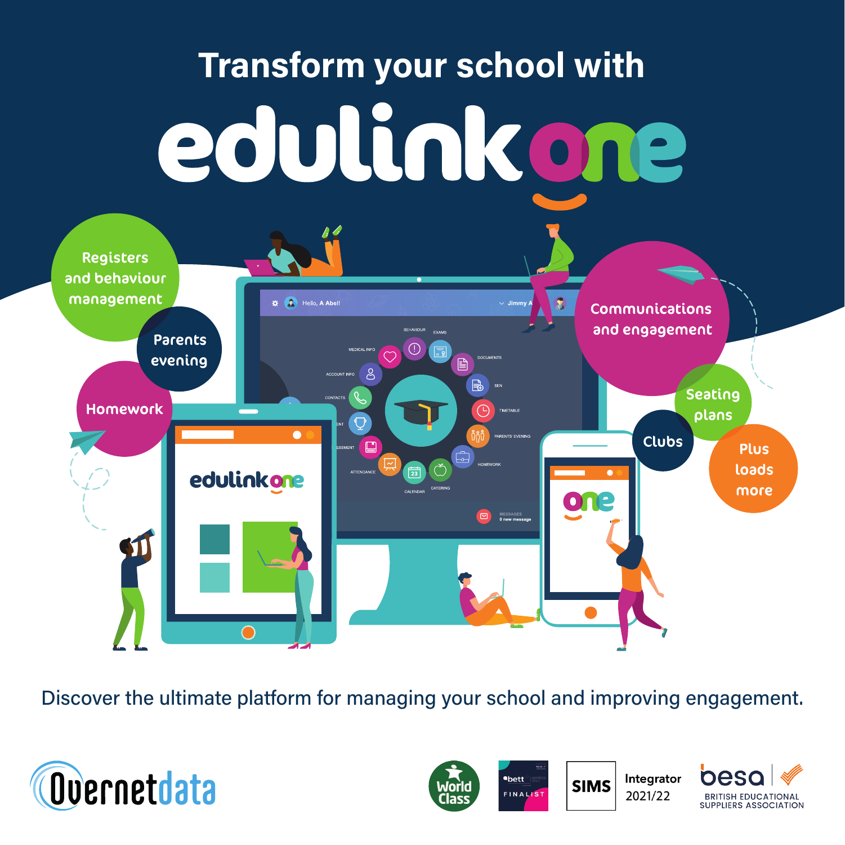

Discover the ultimate platform for managing your school and improving engagement.



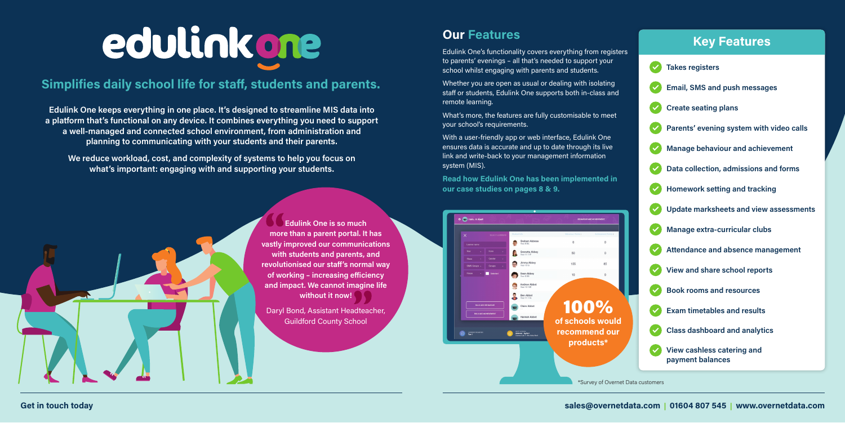Edulink One keeps everything in one place. It's designed to streamline MIS data into a platform that's functional on any device. It combines everything you need to support a well-managed and connected school environment, from administration and planning to communicating with your students and their parents.

We reduce workload, cost, and complexity of systems to help you focus on what's important: engaging with and supporting your students.

# edulinkone

# **Simplifies daily school life for staff, students and parents.**

### Get in touch today sales@overnetdata.com | 01604 807 545 | www.overnetdata.com



Daryl Bond, Assistant Headteacher, Guildford County School

# **Key Features**





# **Our Features**

Edulink One's functionality covers everything from registers to parents' evenings – all that's needed to support your school whilst engaging with parents and students.

Whether you are open as usual or dealing with isolating staff or students, Edulink One supports both in-class and remote learning.

What's more, the features are fully customisable to meet your school's requirements.

With a user-friendly app or web interface, Edulink One ensures data is accurate and up to date through its live link and write-back to your management information system (MIS).

Read how Edulink One has been implemented in our case studies on pages 8 & 9.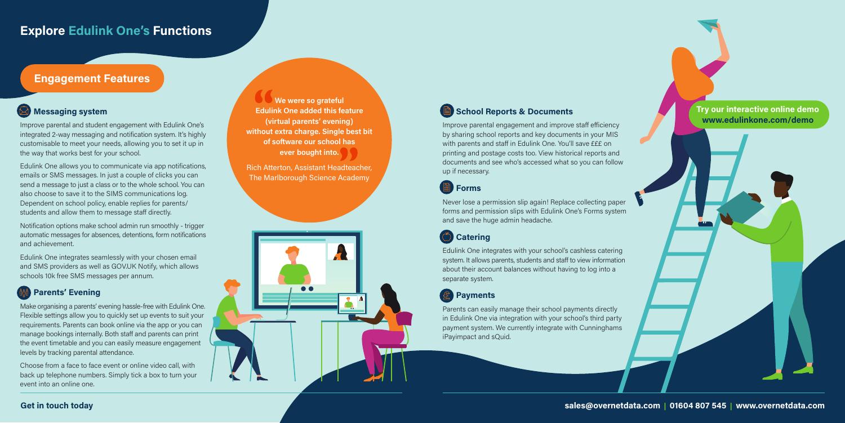### Get in touch today

# **Explore Edulink One's Functions**

# Engagement Features

### $\bigotimes$  Messaging system

Improve parental engagement and improve staff efficiency by sharing school reports and key documents in your MIS with parents and staff in Edulink One. You'll save £££ on printing and postage costs too. View historical reports and documents and see who's accessed what so you can follow up if necessary.



Never lose a permission slip again! Replace collecting paper forms and permission slips with Edulink One's Forms system and save the huge admin headache.

# **Catering**

Edulink One integrates with your school's cashless catering system. It allows parents, students and staff to view information about their account balances without having to log into a separate system.

# **图 Payments**

Parents can easily manage their school payments directly in Edulink One via integration with your school's third party payment system. We currently integrate with Cunninghams iPayimpact and sQuid.

Improve parental and student engagement with Edulink One's integrated 2-way messaging and notification system. It's highly customisable to meet your needs, allowing you to set it up in the way that works best for your school.

Edulink One allows you to communicate via app notifications, emails or SMS messages. In just a couple of clicks you can send a message to just a class or to the whole school. You can also choose to save it to the SIMS communications log. Dependent on school policy, enable replies for parents/ students and allow them to message staff directly.

Notification options make school admin run smoothly - trigger automatic messages for absences, detentions, form notifications and achievement.

Edulink One integrates seamlessly with your chosen email and SMS providers as well as GOV.UK Notify, which allows schools 10k free SMS messages per annum.

### Parents' Evening

Make organising a parents' evening hassle-free with Edulink One. Flexible settings allow you to quickly set up events to suit your requirements. Parents can book online via the app or you can manage bookings internally. Both staff and parents can print the event timetable and you can easily measure engagement levels by tracking parental attendance.

Choose from a face to face event or online video call, with back up telephone numbers. Simply tick a box to turn your event into an online one.

We were so grateful Edulink One added this feature (virtual parents' evening) without extra charge. Single best bit of software our school has ever bought into.

Rich Atterton, Assistant Headteacher, The Marlborough Science Academy

### School Reports & Documents

sales@overnetdata.com | 01604 807 545 | www.overnetdata.com

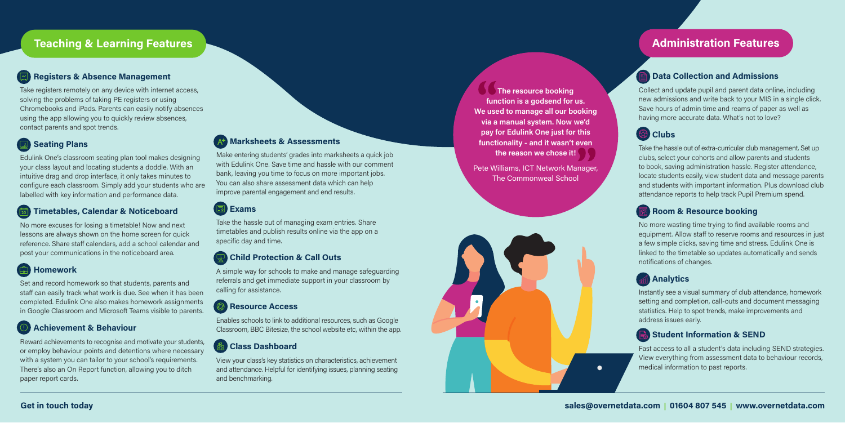### **Teaching & Learning Features Administration Features** Administration Features Administration Features

### Registers & Absence Management

Take registers remotely on any device with internet access, solving the problems of taking PE registers or using Chromebooks and iPads. Parents can easily notify absences using the app allowing you to quickly review absences, contact parents and spot trends.

### **Seating Plans**

Edulink One's classroom seating plan tool makes designing your class layout and locating students a doddle. With an intuitive drag and drop interface, it only takes minutes to configure each classroom. Simply add your students who are labelled with key information and performance data.

### Timetables, Calendar & Noticeboard

No more excuses for losing a timetable! Now and next lessons are always shown on the home screen for quick reference. Share staff calendars, add a school calendar and post your communications in the noticeboard area.

### **ED** Homework

Set and record homework so that students, parents and staff can easily track what work is due. See when it has been completed. Edulink One also makes homework assignments in Google Classroom and Microsoft Teams visible to parents.

### Achievement & Behaviour

Reward achievements to recognise and motivate your students, or employ behaviour points and detentions where necessary with a system you can tailor to your school's requirements. There's also an On Report function, allowing you to ditch paper report cards.

### **At Marksheets & Assessments**

Collect and update pupil and parent data online, including new admissions and write back to your MIS in a single click. Save hours of admin time and reams of paper as well as having more accurate data. What's not to love?

# <sup>2</sup> Clubs

Take the hassle out of extra-curricular club management. Set up clubs, select your cohorts and allow parents and students to book, saving administration hassle. Register attendance, locate students easily, view student data and message parents and students with important information. Plus download club attendance reports to help track Pupil Premium spend.

### Room & Resource booking

The resource booking function is a godsend for us. We used to manage all our booking via a manual system. Now we'd pay for Edulink One just for this functionality - and it wasn't even the reason we chose it!

> No more wasting time trying to find available rooms and equipment. Allow staff to reserve rooms and resources in just a few simple clicks, saving time and stress. Edulink One is linked to the timetable so updates automatically and sends notifications of changes.

### **Analytics**

Instantly see a visual summary of club attendance, homework setting and completion, call-outs and document messaging statistics. Help to spot trends, make improvements and address issues early.

### Student Information & SEND

Fast access to all a student's data including SEND strategies. View everything from assessment data to behaviour records, medical information to past reports.

### **Data Collection and Admissions**

Make entering students' grades into marksheets a quick job with Edulink One. Save time and hassle with our comment bank, leaving you time to focus on more important jobs. You can also share assessment data which can help improve parental engagement and end results.

### **国** Exams

Take the hassle out of managing exam entries. Share timetables and publish results online via the app on a specific day and time.

### **Child Protection & Call Outs**

A simple way for schools to make and manage safeguarding referrals and get immediate support in your classroom by calling for assistance.

### **Col** Resource Access

Enables schools to link to additional resources, such as Google Classroom, BBC Bitesize, the school website etc, within the app.

### **Class Dashboard**

View your class's key statistics on characteristics, achievement and attendance. Helpful for identifying issues, planning seating and benchmarking.

Pete Williams, ICT Network Manager, The Commonweal School

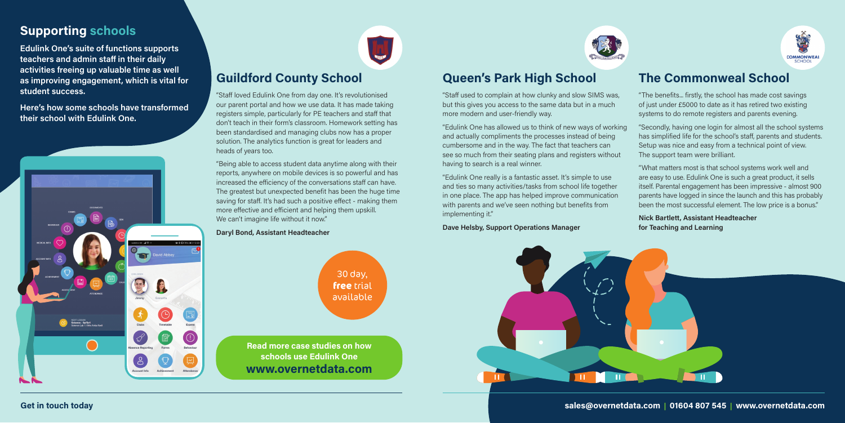# **Queen's Park High School**

"Staff used to complain at how clunky and slow SIMS was, but this gives you access to the same data but in a much more modern and user-friendly way.

"Edulink One has allowed us to think of new ways of working and actually compliments the processes instead of being cumbersome and in the way. The fact that teachers can see so much from their seating plans and registers without having to search is a real winner.

"Being able to access student data anytime along with their reports, anywhere on mobile devices is so powerful and has increased the efficiency of the conversations staff can have. The greatest but unexpected benefit has been the huge time saving for staff. It's had such a positive effect - making them more effective and efficient and helping them upskill. We can't imagine life without it now."

"Edulink One really is a fantastic asset. It's simple to use and ties so many activities/tasks from school life together in one place. The app has helped improve communication with parents and we've seen nothing but benefits from implementing it."

Dave Helsby, Support Operations Manager



# **Guildford County School**

"Staff loved Edulink One from day one. It's revolutionised our parent portal and how we use data. It has made taking registers simple, particularly for PE teachers and staff that don't teach in their form's classroom. Homework setting has been standardised and managing clubs now has a proper solution. The analytics function is great for leaders and heads of years too.

### Daryl Bond, Assistant Headteacher

# **The Commonweal School**

"The benefits... firstly, the school has made cost savings of just under £5000 to date as it has retired two existing systems to do remote registers and parents evening.

"Secondly, having one login for almost all the school systems has simplified life for the school's staff, parents and students. Setup was nice and easy from a technical point of view. The support team were brilliant.

"What matters most is that school systems work well and are easy to use. Edulink One is such a great product, it sells itself. Parental engagement has been impressive - almost 900 parents have logged in since the launch and this has probably been the most successful element. The low price is a bonus."

### Nick Bartlett, Assistant Headteacher for Teaching and Learning

Get in touch today sales@overnetdata.com | 01604 807 545 | www.overnetdata.com



# **Supporting schools**

Edulink One's suite of functions supports teachers and admin staff in their daily activities freeing up valuable time as well as improving engagement, which is vital for student success.

Here's how some schools have transformed their school with Edulink One.





www.overnetdata.com Read more case studies on how schools use Edulink One



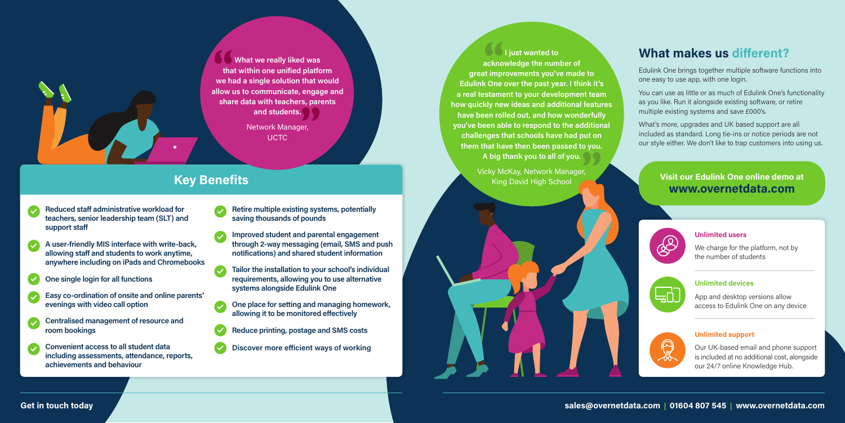# **What makes us different?**

Edulink One brings together multiple software functions into one easy to use app, with one login.

You can use as little or as much of Edulink One's functionality as you like. Run it alongside existing software, or retire multiple existing systems and save £000's.

Network Manager, **UCTC** 

What's more, upgrades and UK based support are all included as standard. Long tie-ins or notice periods are not our style either. We don't like to trap customers into using us.

# **Key Benefits**

What we really liked was that within one unified platform we had a single solution that would allow us to communicate, engage and share data with teachers, parents and students.

### Unlimited users

We charge for the platform, not by the number of students



### Unlimited devices

App and desktop versions allow access to Edulink One on any device



### Unlimited support

Our UK-based email and phone support is included at no additional cost, alongside our 24/7 online Knowledge Hub.

### Get in touch today

### www.overnetdata.com Visit our Edulink One online demo at



- Reduced staff administrative workload for teachers, senior leadership team (SLT) and support staff
- A user-friendly MIS interface with write-back, allowing staff and students to work anytime, anywhere including on iPads and Chromebooks
- One single login for all functions
- Easy co-ordination of onsite and online parents' evenings with video call option
- Centralised management of resource and room bookings
- Convenient access to all student data including assessments, attendance, reports, achievements and behaviour
- Retire multiple existing systems, potentially saving thousands of pounds
- Improved student and parental engagement through 2-way messaging (email, SMS and push notifications) and shared student information
- Tailor the installation to your school's individual requirements, allowing you to use alternative systems alongside Edulink One
- One place for setting and managing homework, allowing it to be monitored effectively
- Reduce printing, postage and SMS costs
- Discover more efficient ways of working

I just wanted to acknowledge the number of great improvements you've made to Edulink One over the past year. I think it's a real testament to your development team how quickly new ideas and additional features have been rolled out, and how wonderfully you've been able to respond to the additional challenges that schools have had put on them that have then been passed to you. A big thank you to all of you.

> Vicky McKay, Network Manager, King David High School